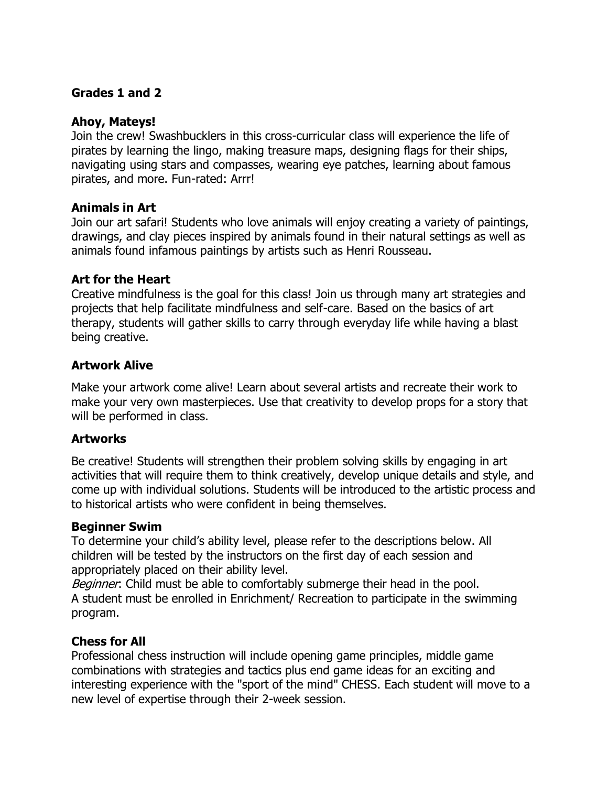# **Grades 1 and 2**

#### **Ahoy, Mateys!**

Join the crew! Swashbucklers in this cross-curricular class will experience the life of pirates by learning the lingo, making treasure maps, designing flags for their ships, navigating using stars and compasses, wearing eye patches, learning about famous pirates, and more. Fun-rated: Arrr!

### **Animals in Art**

Join our art safari! Students who love animals will enjoy creating a variety of paintings, drawings, and clay pieces inspired by animals found in their natural settings as well as animals found infamous paintings by artists such as Henri Rousseau.

#### **Art for the Heart**

Creative mindfulness is the goal for this class! Join us through many art strategies and projects that help facilitate mindfulness and self-care. Based on the basics of art therapy, students will gather skills to carry through everyday life while having a blast being creative.

# **Artwork Alive**

Make your artwork come alive! Learn about several artists and recreate their work to make your very own masterpieces. Use that creativity to develop props for a story that will be performed in class.

#### **Artworks**

Be creative! Students will strengthen their problem solving skills by engaging in art activities that will require them to think creatively, develop unique details and style, and come up with individual solutions. Students will be introduced to the artistic process and to historical artists who were confident in being themselves.

#### **Beginner Swim**

To determine your child's ability level, please refer to the descriptions below. All children will be tested by the instructors on the first day of each session and appropriately placed on their ability level.

Beginner: Child must be able to comfortably submerge their head in the pool. A student must be enrolled in Enrichment/ Recreation to participate in the swimming program.

#### **Chess for All**

Professional chess instruction will include opening game principles, middle game combinations with strategies and tactics plus end game ideas for an exciting and interesting experience with the "sport of the mind" CHESS. Each student will move to a new level of expertise through their 2-week session.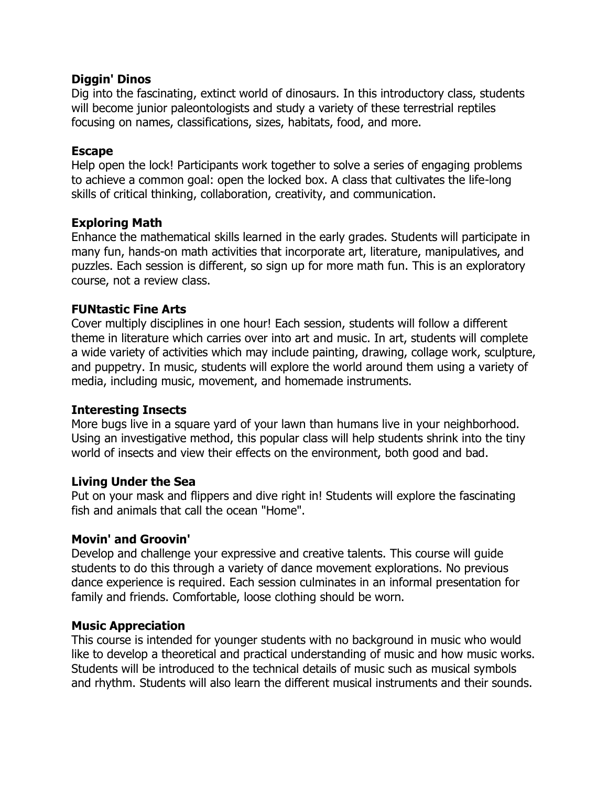### **Diggin' Dinos**

Dig into the fascinating, extinct world of dinosaurs. In this introductory class, students will become junior paleontologists and study a variety of these terrestrial reptiles focusing on names, classifications, sizes, habitats, food, and more.

### **Escape**

Help open the lock! Participants work together to solve a series of engaging problems to achieve a common goal: open the locked box. A class that cultivates the life-long skills of critical thinking, collaboration, creativity, and communication.

# **Exploring Math**

Enhance the mathematical skills learned in the early grades. Students will participate in many fun, hands-on math activities that incorporate art, literature, manipulatives, and puzzles. Each session is different, so sign up for more math fun. This is an exploratory course, not a review class.

### **FUNtastic Fine Arts**

Cover multiply disciplines in one hour! Each session, students will follow a different theme in literature which carries over into art and music. In art, students will complete a wide variety of activities which may include painting, drawing, collage work, sculpture, and puppetry. In music, students will explore the world around them using a variety of media, including music, movement, and homemade instruments.

#### **Interesting Insects**

More bugs live in a square yard of your lawn than humans live in your neighborhood. Using an investigative method, this popular class will help students shrink into the tiny world of insects and view their effects on the environment, both good and bad.

# **Living Under the Sea**

Put on your mask and flippers and dive right in! Students will explore the fascinating fish and animals that call the ocean "Home".

# **Movin' and Groovin'**

Develop and challenge your expressive and creative talents. This course will guide students to do this through a variety of dance movement explorations. No previous dance experience is required. Each session culminates in an informal presentation for family and friends. Comfortable, loose clothing should be worn.

# **Music Appreciation**

This course is intended for younger students with no background in music who would like to develop a theoretical and practical understanding of music and how music works. Students will be introduced to the technical details of music such as musical symbols and rhythm. Students will also learn the different musical instruments and their sounds.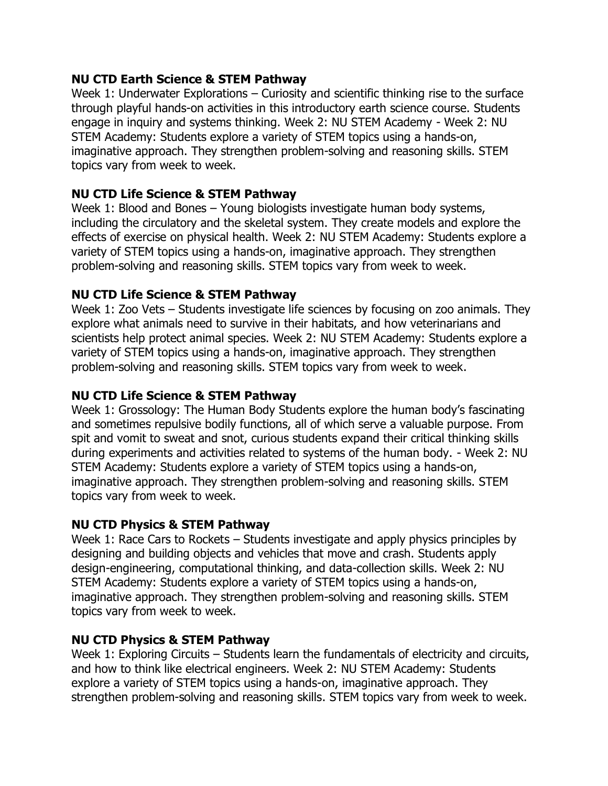# **NU CTD Earth Science & STEM Pathway**

Week 1: Underwater Explorations  $-$  Curiosity and scientific thinking rise to the surface through playful hands-on activities in this introductory earth science course. Students engage in inquiry and systems thinking. Week 2: NU STEM Academy - Week 2: NU STEM Academy: Students explore a variety of STEM topics using a hands-on, imaginative approach. They strengthen problem-solving and reasoning skills. STEM topics vary from week to week.

# **NU CTD Life Science & STEM Pathway**

Week 1: Blood and Bones  $-$  Young biologists investigate human body systems, including the circulatory and the skeletal system. They create models and explore the effects of exercise on physical health. Week 2: NU STEM Academy: Students explore a variety of STEM topics using a hands-on, imaginative approach. They strengthen problem-solving and reasoning skills. STEM topics vary from week to week.

# **NU CTD Life Science & STEM Pathway**

Week 1: Zoo Vets  $-$  Students investigate life sciences by focusing on zoo animals. They explore what animals need to survive in their habitats, and how veterinarians and scientists help protect animal species. Week 2: NU STEM Academy: Students explore a variety of STEM topics using a hands-on, imaginative approach. They strengthen problem-solving and reasoning skills. STEM topics vary from week to week.

# **NU CTD Life Science & STEM Pathway**

Week 1: Grossology: The Human Body Students explore the human body's fascinating and sometimes repulsive bodily functions, all of which serve a valuable purpose. From spit and vomit to sweat and snot, curious students expand their critical thinking skills during experiments and activities related to systems of the human body. - Week 2: NU STEM Academy: Students explore a variety of STEM topics using a hands-on, imaginative approach. They strengthen problem-solving and reasoning skills. STEM topics vary from week to week.

# **NU CTD Physics & STEM Pathway**

Week 1: Race Cars to Rockets  $-$  Students investigate and apply physics principles by designing and building objects and vehicles that move and crash. Students apply design-engineering, computational thinking, and data-collection skills. Week 2: NU STEM Academy: Students explore a variety of STEM topics using a hands-on, imaginative approach. They strengthen problem-solving and reasoning skills. STEM topics vary from week to week.

# **NU CTD Physics & STEM Pathway**

Week 1: Exploring Circuits  $-$  Students learn the fundamentals of electricity and circuits, and how to think like electrical engineers. Week 2: NU STEM Academy: Students explore a variety of STEM topics using a hands-on, imaginative approach. They strengthen problem-solving and reasoning skills. STEM topics vary from week to week.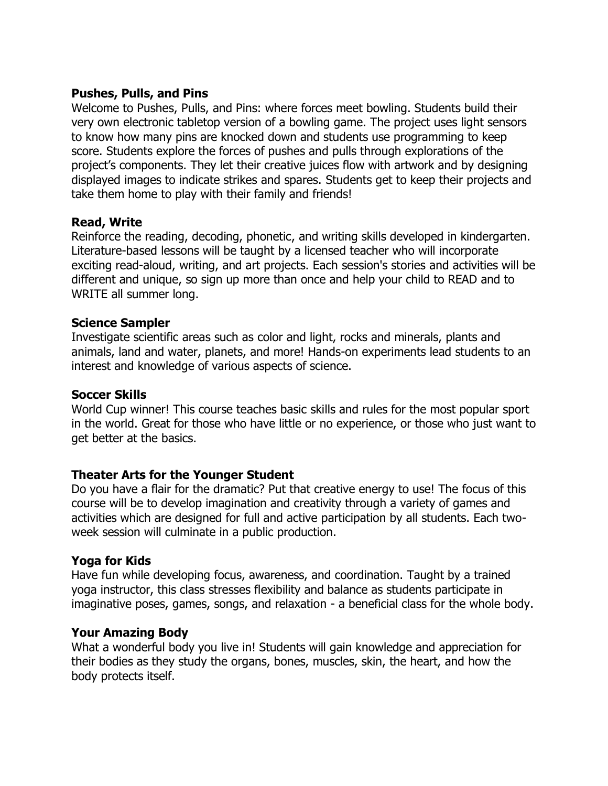### **Pushes, Pulls, and Pins**

Welcome to Pushes, Pulls, and Pins: where forces meet bowling. Students build their very own electronic tabletop version of a bowling game. The project uses light sensors to know how many pins are knocked down and students use programming to keep score. Students explore the forces of pushes and pulls through explorations of the project's components. They let their creative juices flow with artwork and by designing displayed images to indicate strikes and spares. Students get to keep their projects and take them home to play with their family and friends!

### **Read, Write**

Reinforce the reading, decoding, phonetic, and writing skills developed in kindergarten. Literature-based lessons will be taught by a licensed teacher who will incorporate exciting read-aloud, writing, and art projects. Each session's stories and activities will be different and unique, so sign up more than once and help your child to READ and to WRITE all summer long.

### **Science Sampler**

Investigate scientific areas such as color and light, rocks and minerals, plants and animals, land and water, planets, and more! Hands-on experiments lead students to an interest and knowledge of various aspects of science.

### **Soccer Skills**

World Cup winner! This course teaches basic skills and rules for the most popular sport in the world. Great for those who have little or no experience, or those who just want to get better at the basics.

#### **Theater Arts for the Younger Student**

Do you have a flair for the dramatic? Put that creative energy to use! The focus of this course will be to develop imagination and creativity through a variety of games and activities which are designed for full and active participation by all students. Each twoweek session will culminate in a public production.

#### **Yoga for Kids**

Have fun while developing focus, awareness, and coordination. Taught by a trained yoga instructor, this class stresses flexibility and balance as students participate in imaginative poses, games, songs, and relaxation - a beneficial class for the whole body.

#### **Your Amazing Body**

What a wonderful body you live in! Students will gain knowledge and appreciation for their bodies as they study the organs, bones, muscles, skin, the heart, and how the body protects itself.